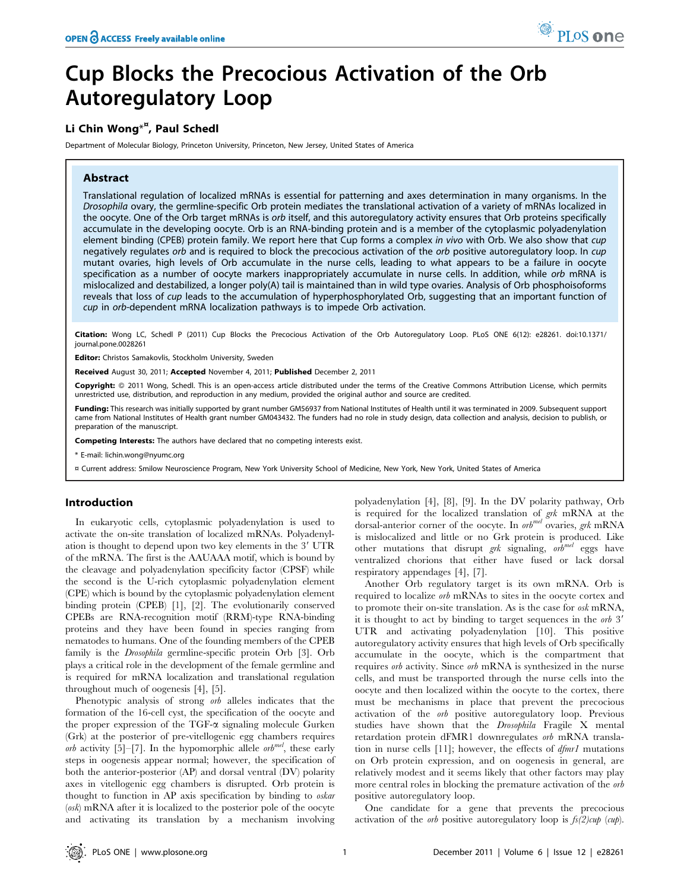# Cup Blocks the Precocious Activation of the Orb Autoregulatory Loop

# Li Chin Wong<sup>\*¤</sup>, Paul Schedl

Department of Molecular Biology, Princeton University, Princeton, New Jersey, United States of America

# Abstract

Translational regulation of localized mRNAs is essential for patterning and axes determination in many organisms. In the Drosophila ovary, the germline-specific Orb protein mediates the translational activation of a variety of mRNAs localized in the oocyte. One of the Orb target mRNAs is orb itself, and this autoregulatory activity ensures that Orb proteins specifically accumulate in the developing oocyte. Orb is an RNA-binding protein and is a member of the cytoplasmic polyadenylation element binding (CPEB) protein family. We report here that Cup forms a complex in vivo with Orb. We also show that cup negatively regulates orb and is required to block the precocious activation of the orb positive autoregulatory loop. In cup mutant ovaries, high levels of Orb accumulate in the nurse cells, leading to what appears to be a failure in oocyte specification as a number of oocyte markers inappropriately accumulate in nurse cells. In addition, while orb mRNA is mislocalized and destabilized, a longer poly(A) tail is maintained than in wild type ovaries. Analysis of Orb phosphoisoforms reveals that loss of cup leads to the accumulation of hyperphosphorylated Orb, suggesting that an important function of cup in orb-dependent mRNA localization pathways is to impede Orb activation.

Citation: Wong LC, Schedl P (2011) Cup Blocks the Precocious Activation of the Orb Autoregulatory Loop. PLoS ONE 6(12): e28261. doi:10.1371/ journal.pone.0028261

Editor: Christos Samakovlis, Stockholm University, Sweden

Received August 30, 2011; Accepted November 4, 2011; Published December 2, 2011

Copyright: © 2011 Wong, Schedl. This is an open-access article distributed under the terms of the Creative Commons Attribution License, which permits unrestricted use, distribution, and reproduction in any medium, provided the original author and source are credited.

Funding: This research was initially supported by grant number GM56937 from National Institutes of Health until it was terminated in 2009. Subsequent support came from National Institutes of Health grant number GM043432. The funders had no role in study design, data collection and analysis, decision to publish, or preparation of the manuscript.

Competing Interests: The authors have declared that no competing interests exist.

\* E-mail: lichin.wong@nyumc.org

¤ Current address: Smilow Neuroscience Program, New York University School of Medicine, New York, New York, United States of America

### Introduction

In eukaryotic cells, cytoplasmic polyadenylation is used to activate the on-site translation of localized mRNAs. Polyadenylation is thought to depend upon two key elements in the 3' UTR of the mRNA. The first is the AAUAAA motif, which is bound by the cleavage and polyadenylation specificity factor (CPSF) while the second is the U-rich cytoplasmic polyadenylation element (CPE) which is bound by the cytoplasmic polyadenylation element binding protein (CPEB) [1], [2]. The evolutionarily conserved CPEBs are RNA-recognition motif (RRM)-type RNA-binding proteins and they have been found in species ranging from nematodes to humans. One of the founding members of the CPEB family is the Drosophila germline-specific protein Orb [3]. Orb plays a critical role in the development of the female germline and is required for mRNA localization and translational regulation throughout much of oogenesis [4], [5].

Phenotypic analysis of strong *orb* alleles indicates that the formation of the 16-cell cyst, the specification of the oocyte and the proper expression of the TGF- $\alpha$  signaling molecule Gurken (Grk) at the posterior of pre-vitellogenic egg chambers requires *orb* activity [5]–[7]. In the hypomorphic allele *orb<sup>mel</sup>*, these early steps in oogenesis appear normal; however, the specification of both the anterior-posterior (AP) and dorsal ventral (DV) polarity axes in vitellogenic egg chambers is disrupted. Orb protein is thought to function in AP axis specification by binding to oskar (osk) mRNA after it is localized to the posterior pole of the oocyte and activating its translation by a mechanism involving

polyadenylation [4], [8], [9]. In the DV polarity pathway, Orb is required for the localized translation of grk mRNA at the dorsal-anterior corner of the oocyte. In  $\omega t^{mel}$  ovaries,  $\varrho r k$  mRNA is mislocalized and little or no Grk protein is produced. Like other mutations that disrupt *grk* signaling,  $orb^{mel}$  eggs have ventralized chorions that either have fused or lack dorsal respiratory appendages [4], [7].

Another Orb regulatory target is its own mRNA. Orb is required to localize orb mRNAs to sites in the oocyte cortex and to promote their on-site translation. As is the case for osk mRNA, it is thought to act by binding to target sequences in the  $orb 3'$ UTR and activating polyadenylation [10]. This positive autoregulatory activity ensures that high levels of Orb specifically accumulate in the oocyte, which is the compartment that requires orb activity. Since orb mRNA is synthesized in the nurse cells, and must be transported through the nurse cells into the oocyte and then localized within the oocyte to the cortex, there must be mechanisms in place that prevent the precocious activation of the orb positive autoregulatory loop. Previous studies have shown that the Drosophila Fragile X mental retardation protein dFMR1 downregulates orb mRNA translation in nurse cells [11]; however, the effects of dfmr1 mutations on Orb protein expression, and on oogenesis in general, are relatively modest and it seems likely that other factors may play more central roles in blocking the premature activation of the *orb* positive autoregulatory loop.

One candidate for a gene that prevents the precocious activation of the *orb* positive autoregulatory loop is  $f_s(2) \text{cup}$  (cup).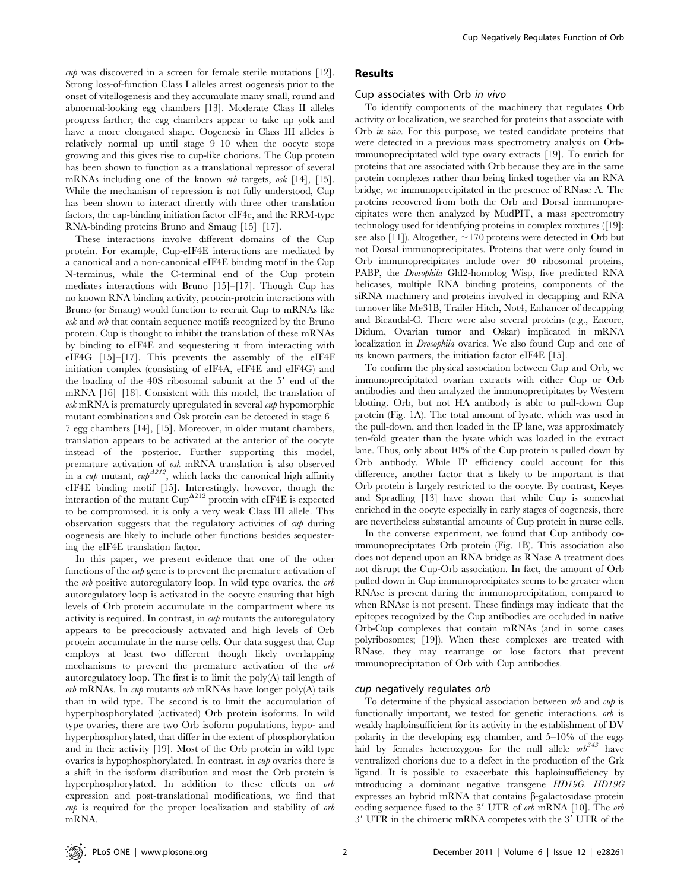cup was discovered in a screen for female sterile mutations [12]. Strong loss-of-function Class I alleles arrest oogenesis prior to the onset of vitellogenesis and they accumulate many small, round and abnormal-looking egg chambers [13]. Moderate Class II alleles progress farther; the egg chambers appear to take up yolk and have a more elongated shape. Oogenesis in Class III alleles is relatively normal up until stage 9–10 when the oocyte stops growing and this gives rise to cup-like chorions. The Cup protein has been shown to function as a translational repressor of several mRNAs including one of the known orb targets, osk [14], [15]. While the mechanism of repression is not fully understood, Cup has been shown to interact directly with three other translation factors, the cap-binding initiation factor eIF4e, and the RRM-type RNA-binding proteins Bruno and Smaug [15]–[17].

These interactions involve different domains of the Cup protein. For example, Cup-eIF4E interactions are mediated by a canonical and a non-canonical eIF4E binding motif in the Cup N-terminus, while the C-terminal end of the Cup protein mediates interactions with Bruno [15]–[17]. Though Cup has no known RNA binding activity, protein-protein interactions with Bruno (or Smaug) would function to recruit Cup to mRNAs like osk and orb that contain sequence motifs recognized by the Bruno protein. Cup is thought to inhibit the translation of these mRNAs by binding to eIF4E and sequestering it from interacting with eIF4G [15]–[17]. This prevents the assembly of the eIF4F initiation complex (consisting of eIF4A, eIF4E and eIF4G) and the loading of the 40S ribosomal subunit at the 5' end of the mRNA [16]–[18]. Consistent with this model, the translation of osk mRNA is prematurely upregulated in several *cup* hypomorphic mutant combinations and Osk protein can be detected in stage 6– 7 egg chambers [14], [15]. Moreover, in older mutant chambers, translation appears to be activated at the anterior of the oocyte instead of the posterior. Further supporting this model, premature activation of osk mRNA translation is also observed in a *cup* mutant,  $\alpha \psi^{4212}$ , which lacks the canonical high affinity eIF4E binding motif [15]. Interestingly, however, though the interaction of the mutant  $\text{Cup}^{\Delta212}$  protein with eIF4E is expected to be compromised, it is only a very weak Class III allele. This observation suggests that the regulatory activities of cup during oogenesis are likely to include other functions besides sequestering the eIF4E translation factor.

In this paper, we present evidence that one of the other functions of the cup gene is to prevent the premature activation of the *orb* positive autoregulatory loop. In wild type ovaries, the *orb* autoregulatory loop is activated in the oocyte ensuring that high levels of Orb protein accumulate in the compartment where its activity is required. In contrast, in cup mutants the autoregulatory appears to be precociously activated and high levels of Orb protein accumulate in the nurse cells. Our data suggest that Cup employs at least two different though likely overlapping mechanisms to prevent the premature activation of the orb autoregulatory loop. The first is to limit the  $poly(A)$  tail length of orb mRNAs. In  $\alpha \psi$  mutants orb mRNAs have longer poly(A) tails than in wild type. The second is to limit the accumulation of hyperphosphorylated (activated) Orb protein isoforms. In wild type ovaries, there are two Orb isoform populations, hypo- and hyperphosphorylated, that differ in the extent of phosphorylation and in their activity [19]. Most of the Orb protein in wild type ovaries is hypophosphorylated. In contrast, in cup ovaries there is a shift in the isoform distribution and most the Orb protein is hyperphosphorylated. In addition to these effects on orb expression and post-translational modifications, we find that  $\alpha$  is required for the proper localization and stability of orb mRNA.

# Results

#### Cup associates with Orb in vivo

To identify components of the machinery that regulates Orb activity or localization, we searched for proteins that associate with Orb in vivo. For this purpose, we tested candidate proteins that were detected in a previous mass spectrometry analysis on Orbimmunoprecipitated wild type ovary extracts [19]. To enrich for proteins that are associated with Orb because they are in the same protein complexes rather than being linked together via an RNA bridge, we immunoprecipitated in the presence of RNase A. The proteins recovered from both the Orb and Dorsal immunoprecipitates were then analyzed by MudPIT, a mass spectrometry technology used for identifying proteins in complex mixtures ([19]; see also [11]). Altogether,  $\sim$ 170 proteins were detected in Orb but not Dorsal immunoprecipitates. Proteins that were only found in Orb immunoprecipitates include over 30 ribosomal proteins, PABP, the Drosophila Gld2-homolog Wisp, five predicted RNA helicases, multiple RNA binding proteins, components of the siRNA machinery and proteins involved in decapping and RNA turnover like Me31B, Trailer Hitch, Not4, Enhancer of decapping and Bicaudal-C. There were also several proteins (e.g., Encore, Didum, Ovarian tumor and Oskar) implicated in mRNA localization in Drosophila ovaries. We also found Cup and one of its known partners, the initiation factor eIF4E [15].

To confirm the physical association between Cup and Orb, we immunoprecipitated ovarian extracts with either Cup or Orb antibodies and then analyzed the immunoprecipitates by Western blotting. Orb, but not HA antibody is able to pull-down Cup protein (Fig. 1A). The total amount of lysate, which was used in the pull-down, and then loaded in the IP lane, was approximately ten-fold greater than the lysate which was loaded in the extract lane. Thus, only about 10% of the Cup protein is pulled down by Orb antibody. While IP efficiency could account for this difference, another factor that is likely to be important is that Orb protein is largely restricted to the oocyte. By contrast, Keyes and Spradling [13] have shown that while Cup is somewhat enriched in the oocyte especially in early stages of oogenesis, there are nevertheless substantial amounts of Cup protein in nurse cells.

In the converse experiment, we found that Cup antibody coimmunoprecipitates Orb protein (Fig. 1B). This association also does not depend upon an RNA bridge as RNase A treatment does not disrupt the Cup-Orb association. In fact, the amount of Orb pulled down in Cup immunoprecipitates seems to be greater when RNAse is present during the immunoprecipitation, compared to when RNAse is not present. These findings may indicate that the epitopes recognized by the Cup antibodies are occluded in native Orb-Cup complexes that contain mRNAs (and in some cases polyribosomes; [19]). When these complexes are treated with RNase, they may rearrange or lose factors that prevent immunoprecipitation of Orb with Cup antibodies.

### cup negatively regulates orb

To determine if the physical association between *orb* and *cup* is functionally important, we tested for genetic interactions. orb is weakly haploinsufficient for its activity in the establishment of DV polarity in the developing egg chamber, and 5–10% of the eggs laid by females heterozygous for the null allele  $orb^{343}$  have ventralized chorions due to a defect in the production of the Grk ligand. It is possible to exacerbate this haploinsufficiency by introducing a dominant negative transgene HD19G. HD19G expresses an hybrid mRNA that contains  $\beta$ -galactosidase protein coding sequence fused to the  $3'$  UTR of orb mRNA [10]. The orb 3' UTR in the chimeric mRNA competes with the 3' UTR of the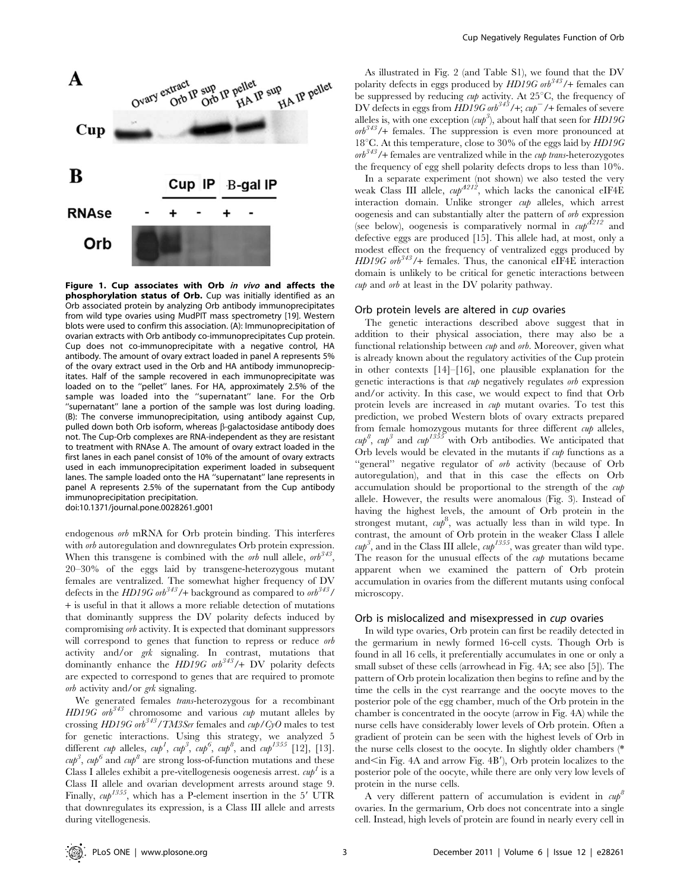

Figure 1. Cup associates with Orb in vivo and affects the phosphorylation status of Orb. Cup was initially identified as an Orb associated protein by analyzing Orb antibody immunoprecipitates from wild type ovaries using MudPIT mass spectrometry [19]. Western blots were used to confirm this association. (A): Immunoprecipitation of ovarian extracts with Orb antibody co-immunoprecipitates Cup protein. Cup does not co-immunoprecipitate with a negative control, HA antibody. The amount of ovary extract loaded in panel A represents 5% of the ovary extract used in the Orb and HA antibody immunoprecipitates. Half of the sample recovered in each immunoprecipitate was loaded on to the ''pellet'' lanes. For HA, approximately 2.5% of the sample was loaded into the ''supernatant'' lane. For the Orb ''supernatant'' lane a portion of the sample was lost during loading. (B): The converse immunoprecipitation, using antibody against Cup, pulled down both Orb isoform, whereas  $\beta$ -galactosidase antibody does not. The Cup-Orb complexes are RNA-independent as they are resistant to treatment with RNAse A. The amount of ovary extract loaded in the first lanes in each panel consist of 10% of the amount of ovary extracts used in each immunoprecipitation experiment loaded in subsequent lanes. The sample loaded onto the HA ''supernatant'' lane represents in panel A represents 2.5% of the supernatant from the Cup antibody immunoprecipitation precipitation. doi:10.1371/journal.pone.0028261.g001

endogenous orb mRNA for Orb protein binding. This interferes with *orb* autoregulation and downregulates Orb protein expression. When this transgene is combined with the *orb* null allele,  $\sigma r b^{343}$ , 20–30% of the eggs laid by transgene-heterozygous mutant females are ventralized. The somewhat higher frequency of DV defects in the HD19G orb<sup>343</sup>/+ background as compared to orb<sup>343</sup>/ + is useful in that it allows a more reliable detection of mutations that dominantly suppress the DV polarity defects induced by compromising orb activity. It is expected that dominant suppressors will correspond to genes that function to repress or reduce *orb* activity and/or grk signaling. In contrast, mutations that dominantly enhance the  $HD^19G$  orb<sup>343</sup>/+ DV polarity defects are expected to correspond to genes that are required to promote orb activity and/or grk signaling.

We generated females *trans*-heterozygous for a recombinant  $HD19G$  orb<sup>343</sup> chromosome and various cup mutant alleles by crossing HD19G orb<sup>343</sup>/TM3Ser females and  $\frac{cu}{f/CyO}$  males to test for genetic interactions. Using this strategy, we analyzed 5 different cup alleles,  $\alpha \psi^1$ ,  $\alpha \psi^3$ ,  $\alpha \psi^6$ ,  $\alpha \psi^8$ , and  $\alpha \psi^{1355}$  [12], [13].  $\omega_1^3$ ,  $\omega_2^6$  and  $\omega_3^8$  are strong loss-of-function mutations and these Class I alleles exhibit a pre-vitellogenesis oogenesis arrest.  $\alpha \psi^I$  is a Class II allele and ovarian development arrests around stage 9. Finally,  $cub^{1355}$ , which has a P-element insertion in the 5' UTR that downregulates its expression, is a Class III allele and arrests during vitellogenesis.

As illustrated in Fig. 2 (and Table S1), we found that the DV polarity defects in eggs produced by  $HD19G$  orb<sup>343</sup>/+ females can be suppressed by reducing  $\alpha \psi$  activity. At 25°C, the frequency of DV defects in eggs from  $HD19G \omega v^{343}/+; \omega \psi^{-}$  /+ females of severe alleles is, with one exception  $(cup^3)$ , about half that seen for  $HD19G$  $orb^{343}/+$  females. The suppression is even more pronounced at  $18^{\circ}$ C. At this temperature, close to 30% of the eggs laid by  $HD19G$  $\omega$ <sup>343</sup>/+ females are ventralized while in the *cup trans*-heterozygotes the frequency of egg shell polarity defects drops to less than 10%.

In a separate experiment (not shown) we also tested the very In a separate experiment (not shown) we have vertex<br>weak Class III allele,  $\epsilon u p^{4212}$ , which lacks the canonical eIF4E interaction domain. Unlike stronger cup alleles, which arrest oogenesis and can substantially alter the pattern of orb expression (see below), oogenesis is comparatively normal in  $\int u p^{2/2}$  and defective eggs are produced [15]. This allele had, at most, only a modest effect on the frequency of ventralized eggs produced by HD19G  $orb^{343}/+$  females. Thus, the canonical eIF4E interaction domain is unlikely to be critical for genetic interactions between cup and orb at least in the DV polarity pathway.

### Orb protein levels are altered in cup ovaries

The genetic interactions described above suggest that in addition to their physical association, there may also be a functional relationship between cup and orb. Moreover, given what is already known about the regulatory activities of the Cup protein in other contexts [14]–[16], one plausible explanation for the genetic interactions is that cup negatively regulates orb expression and/or activity. In this case, we would expect to find that Orb protein levels are increased in cup mutant ovaries. To test this prediction, we probed Western blots of ovary extracts prepared from female homozygous mutants for three different cup alleles,  $\int c u p^3$ ,  $\int c u p^3$  and  $\int c u p^{1355}$  with Orb antibodies. We anticipated that Orb levels would be elevated in the mutants if  $\alpha \psi$  functions as a "general" negative regulator of orb activity (because of Orb autoregulation), and that in this case the effects on Orb accumulation should be proportional to the strength of the cup allele. However, the results were anomalous (Fig. 3). Instead of having the highest levels, the amount of Orb protein in the strongest mutant,  $c\nu p^8$ , was actually less than in wild type. In contrast, the amount of Orb protein in the weaker Class I allele  $\alpha \psi^3$ , and in the Class III allele,  $\alpha \psi^{1355}$ , was greater than wild type. The reason for the unusual effects of the  $\alpha \psi$  mutations became apparent when we examined the pattern of Orb protein accumulation in ovaries from the different mutants using confocal microscopy.

## Orb is mislocalized and misexpressed in cup ovaries

In wild type ovaries, Orb protein can first be readily detected in the germarium in newly formed 16-cell cysts. Though Orb is found in all 16 cells, it preferentially accumulates in one or only a small subset of these cells (arrowhead in Fig. 4A; see also [5]). The pattern of Orb protein localization then begins to refine and by the time the cells in the cyst rearrange and the oocyte moves to the posterior pole of the egg chamber, much of the Orb protein in the chamber is concentrated in the oocyte (arrow in Fig. 4A) while the nurse cells have considerably lower levels of Orb protein. Often a gradient of protein can be seen with the highest levels of Orb in the nurse cells closest to the oocyte. In slightly older chambers (\* and $\leq$ in Fig. 4A and arrow Fig. 4B'), Orb protein localizes to the posterior pole of the oocyte, while there are only very low levels of protein in the nurse cells.

A very different pattern of accumulation is evident in  $\alpha\psi^{\delta}$ ovaries. In the germarium, Orb does not concentrate into a single cell. Instead, high levels of protein are found in nearly every cell in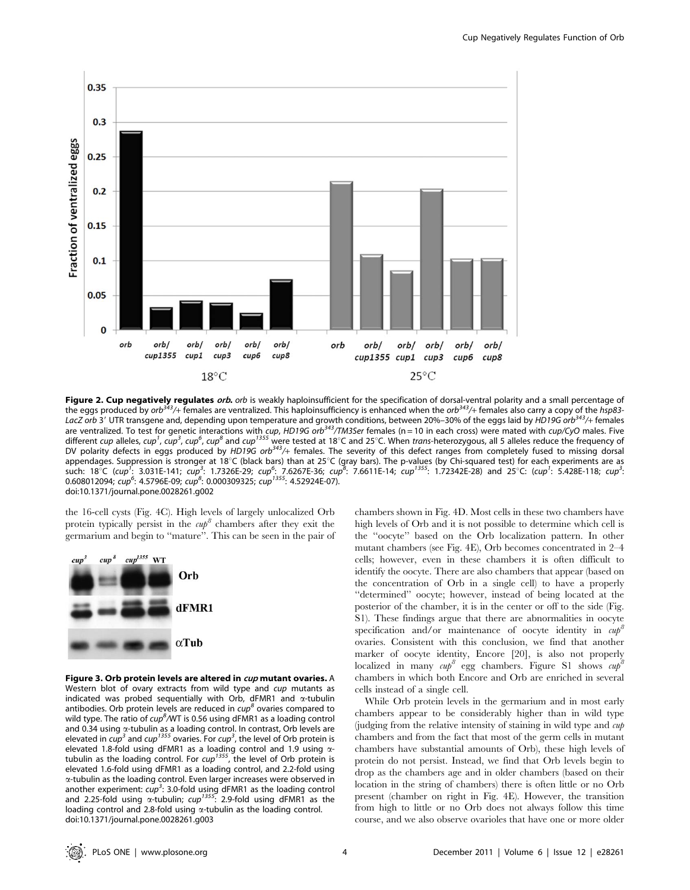

Figure 2. Cup negatively regulates orb. orb is weakly haploinsufficient for the specification of dorsal-ventral polarity and a small percentage of the eggs produced by  $orb^{343}/+$  females are ventralized. This haploinsufficiency is enhanced when the  $orb^{343}/+$  females also carry a copy of the hsp83-LacZ orb 3' UTR transgene and, depending upon temperature and growth conditions, between 20%–30% of the eggs laid by HD19G orb<sup>343</sup>/+ females are ventralized. To test for genetic interactions with cup, HD19G orb<sup>343</sup>/TM3Ser females (n = 10 in each cross) were mated with cup/CyO males. Five different *cup* alleles, cup<sup>1</sup>, cup<sup>3</sup>, cup<sup>8</sup> and cup<sup>1355</sup> were tested at 18°C and 25°C. When *trans*-heterozygous, all 5 alleles reduce the frequency of DV polarity defects in eggs produced by HD19G orb<sup>343</sup>/+ females. The severity of this defect ranges from completely fused to missing dorsal appendages. Suppression is stronger at 18°C (black bars) than at 25°C (gray bars). The p-values (by Chi-squared test) for each experiments are as such: 18°C (cup<sup>1</sup>: 3.031E-141; cup<sup>3</sup>: 1.7326E-29; cup<sup>6</sup>: 7.6267E-36; cup<sup>8</sup>: 7.6611E-14; cup<sup>1355</sup>: 1.72342E-28) and 25°C: (cup<sup>1</sup>: 5.428E-118; cup<sup>3</sup>:<br>0.608012094; cup<sup>6</sup>: 4.5796E-09; cup<sup>8</sup>: 0.000309325; cup<sup>1355</sup>: 4. doi:10.1371/journal.pone.0028261.g002

the 16-cell cysts (Fig. 4C). High levels of largely unlocalized Orb protein typically persist in the  $\alpha\psi^{\delta}$  chambers after they exit the germarium and begin to ''mature''. This can be seen in the pair of



Figure 3. Orb protein levels are altered in *cup* mutant ovaries. A Western blot of ovary extracts from wild type and cup mutants as indicated was probed sequentially with Orb, dFMR1 and  $\alpha$ -tubulin antibodies. Orb protein levels are reduced in  $\text{cup}^8$  ovaries compared to wild type. The ratio of  $\epsilon \omega p^8/\text{WT}$  is 0.56 using dFMR1 as a loading control and 0.34 using α-tubulin as a loading control. In contrast, Orb levels are<br>elevated in cup<sup>3</sup> and cup<sup>1355</sup> ovaries. For cup<sup>3</sup>, the level of Orb protein is elevated 1.8-fold using dFMR1 as a loading control and 1.9 using α-<br>tubulin as the loading control. For c*up<sup>1355</sup>,* the level of Orb protein is elevated 1.6-fold using dFMR1 as a loading control, and 2.2-fold using a-tubulin as the loading control. Even larger increases were observed in another experiment:  $cup^3$ : 3.0-fold using dFMR1 as the loading control and 2.25-fold using  $\alpha$ -tubulin;  $cup^{1355}$ : 2.9-fold using dFMR1 as the loading control and 2.8-fold using a-tubulin as the loading control. doi:10.1371/journal.pone.0028261.g003

chambers shown in Fig. 4D. Most cells in these two chambers have high levels of Orb and it is not possible to determine which cell is the ''oocyte'' based on the Orb localization pattern. In other mutant chambers (see Fig. 4E), Orb becomes concentrated in 2–4 cells; however, even in these chambers it is often difficult to identify the oocyte. There are also chambers that appear (based on the concentration of Orb in a single cell) to have a properly ''determined'' oocyte; however, instead of being located at the posterior of the chamber, it is in the center or off to the side (Fig. S1). These findings argue that there are abnormalities in oocyte specification and/or maintenance of oocyte identity in  $\alpha\psi^{\delta}$ ovaries. Consistent with this conclusion, we find that another marker of oocyte identity, Encore [20], is also not properly localized in many  $\alpha p^8$  egg chambers. Figure S1 shows  $\alpha p^8$ chambers in which both Encore and Orb are enriched in several cells instead of a single cell.

While Orb protein levels in the germarium and in most early chambers appear to be considerably higher than in wild type (judging from the relative intensity of staining in wild type and cup chambers and from the fact that most of the germ cells in mutant chambers have substantial amounts of Orb), these high levels of protein do not persist. Instead, we find that Orb levels begin to drop as the chambers age and in older chambers (based on their location in the string of chambers) there is often little or no Orb present (chamber on right in Fig. 4E). However, the transition from high to little or no Orb does not always follow this time course, and we also observe ovarioles that have one or more older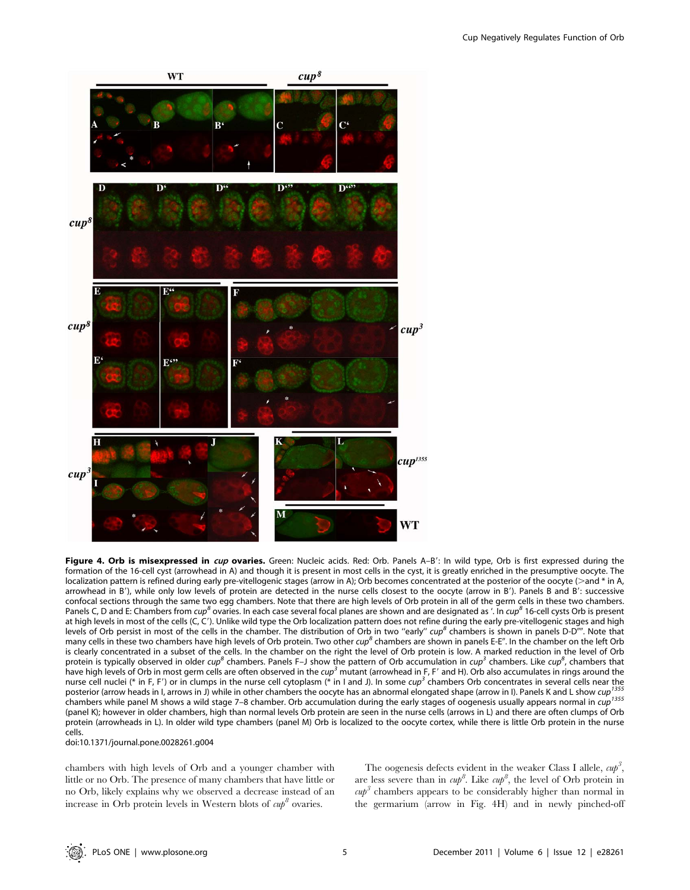

Figure 4. Orb is misexpressed in cup ovaries. Green: Nucleic acids. Red: Orb. Panels A-B': In wild type, Orb is first expressed during the formation of the 16-cell cyst (arrowhead in A) and though it is present in most cells in the cyst, it is greatly enriched in the presumptive oocyte. The localization pattern is refined during early pre-vitellogenic stages (arrow in A); Orb becomes concentrated at the posterior of the oocyte (>and \* in A, arrowhead in B'), while only low levels of protein are detected in the nurse cells closest to the oocyte (arrow in B'). Panels B and B': successive confocal sections through the same two egg chambers. Note that there are high levels of Orb protein in all of the germ cells in these two chambers. Panels C, D and E: Chambers from cup<sup>8</sup> ovaries. In each case several focal planes are shown and are designated as '. In cup<sup>8</sup> 16-cell cysts Orb is present at high levels in most of the cells (C, C'). Unlike wild type the Orb localization pattern does not refine during the early pre-vitellogenic stages and high levels of Orb persist in most of the cells in the chamber. The distribution of Orb in two "early" cup<sup>8</sup> chambers is shown in panels D-D<sup>rm</sup>. Note that many cells in these two chambers have high levels of Orb protein. Two other cup<sup>8</sup> chambers are shown in panels E-E". In the chamber on the left Orb is clearly concentrated in a subset of the cells. In the chamber on the right the level of Orb protein is low. A marked reduction in the level of Orb protein is typically observed in older cup<sup>8</sup> chambers. Panels F–J show the pattern of Orb accumulation in cup<sup>3</sup> chambers. Like cup<sup>8</sup>, chambers that have high levels of Orb in most germ cells are often observed in the cup<sup>3</sup> mutant (arrowhead in F, F' and H). Orb also accumulates in rings around the nurse cell nuclei (\* in F, F') or in clumps in the nurse cell cytoplasm (\* in I and J). In some  $cup^3$  chambers Orb concentrates in several cells near the posterior (arrow heads in I, arrows in J) while in other chambers the oocyte has an abnormal elongated shape (arrow in I). Panels K and L show cup chambers while panel M shows a wild stage 7–8 chamber. Orb accumulation during the early stages of oogenesis usually appears normal in cup<sup>1355</sup> (panel K); however in older chambers, high than normal levels Orb protein are seen in the nurse cells (arrows in L) and there are often clumps of Orb protein (arrowheads in L). In older wild type chambers (panel M) Orb is localized to the oocyte cortex, while there is little Orb protein in the nurse cells.

doi:10.1371/journal.pone.0028261.g004

chambers with high levels of Orb and a younger chamber with little or no Orb. The presence of many chambers that have little or no Orb, likely explains why we observed a decrease instead of an increase in Orb protein levels in Western blots of  $\alpha \phi^{\beta}$  ovaries.

The oogenesis defects evident in the weaker Class I allele,  $\alpha p^3$ , are less severe than in  $\alpha \psi^{\beta}$ . Like  $\alpha \psi^{\beta}$ , the level of Orb protein in  $\alpha \psi^3$  chambers appears to be considerably higher than normal in the germarium (arrow in Fig. 4H) and in newly pinched-off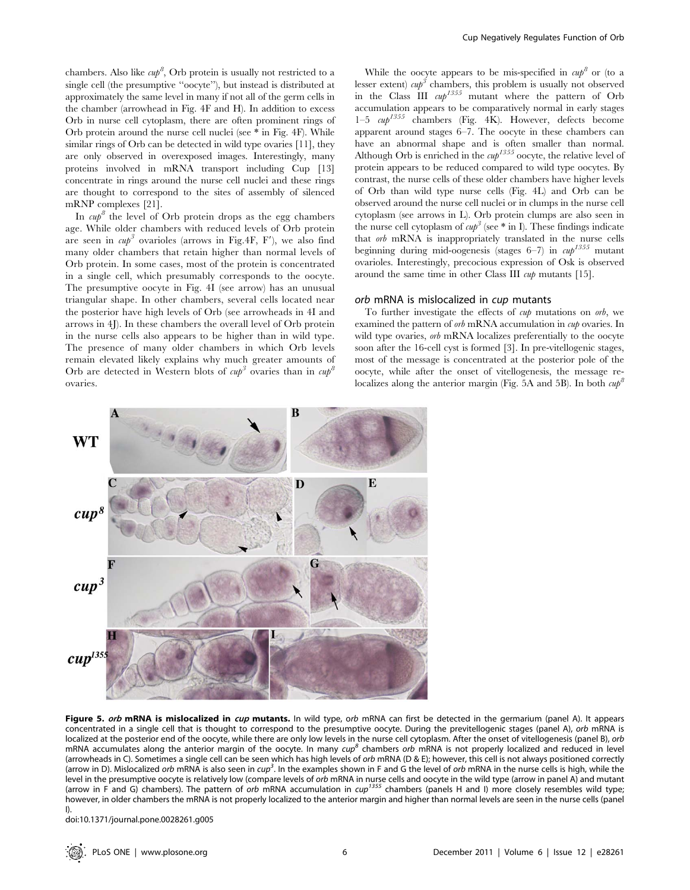chambers. Also like  $\alpha p^8$ , Orb protein is usually not restricted to a single cell (the presumptive ''oocyte''), but instead is distributed at approximately the same level in many if not all of the germ cells in the chamber (arrowhead in Fig. 4F and H). In addition to excess Orb in nurse cell cytoplasm, there are often prominent rings of Orb protein around the nurse cell nuclei (see \* in Fig. 4F). While similar rings of Orb can be detected in wild type ovaries [11], they are only observed in overexposed images. Interestingly, many proteins involved in mRNA transport including Cup [13] concentrate in rings around the nurse cell nuclei and these rings are thought to correspond to the sites of assembly of silenced mRNP complexes [21].

In  $\omega b^8$  the level of Orb protein drops as the egg chambers age. While older chambers with reduced levels of Orb protein are seen in  $\alpha \psi^3$  ovarioles (arrows in Fig.4F, F'), we also find many older chambers that retain higher than normal levels of Orb protein. In some cases, most of the protein is concentrated in a single cell, which presumably corresponds to the oocyte. The presumptive oocyte in Fig. 4I (see arrow) has an unusual triangular shape. In other chambers, several cells located near the posterior have high levels of Orb (see arrowheads in 4I and arrows in 4J). In these chambers the overall level of Orb protein in the nurse cells also appears to be higher than in wild type. The presence of many older chambers in which Orb levels remain elevated likely explains why much greater amounts of Orb are detected in Western blots of  $c u p^3$  ovaries than in  $c u p^3$ ovaries.

While the oocyte appears to be mis-specified in  $\alpha \phi^8$  or (to a lesser extent)  $\alpha \psi^3$  chambers, this problem is usually not observed in the Class  $III$   $\alpha \psi^{1355}$  mutant where the pattern of Orb accumulation appears to be comparatively normal in early stages 1–5  $\omega p^{1355}$  chambers (Fig. 4K). However, defects become apparent around stages 6–7. The oocyte in these chambers can have an abnormal shape and is often smaller than normal. Although Orb is enriched in the  $\alpha \psi^{1355}$  oocyte, the relative level of protein appears to be reduced compared to wild type oocytes. By contrast, the nurse cells of these older chambers have higher levels of Orb than wild type nurse cells (Fig. 4L) and Orb can be observed around the nurse cell nuclei or in clumps in the nurse cell cytoplasm (see arrows in L). Orb protein clumps are also seen in the nurse cell cytoplasm of  $\alpha \psi^3$  (see \* in I). These findings indicate that orb mRNA is inappropriately translated in the nurse cells beginning during mid-oogenesis (stages  $6-7$ ) in  $\alpha \psi^{1355}$  mutant ovarioles. Interestingly, precocious expression of Osk is observed around the same time in other Class III cup mutants [15].

# orb mRNA is mislocalized in cup mutants

To further investigate the effects of cup mutations on orb, we examined the pattern of orb mRNA accumulation in cup ovaries. In wild type ovaries, orb mRNA localizes preferentially to the oocyte soon after the 16-cell cyst is formed [3]. In pre-vitellogenic stages, most of the message is concentrated at the posterior pole of the oocyte, while after the onset of vitellogenesis, the message relocalizes along the anterior margin (Fig. 5A and 5B). In both  $\alpha \phi^8$ 



Figure 5. orb mRNA is mislocalized in cup mutants. In wild type, orb mRNA can first be detected in the germarium (panel A). It appears concentrated in a single cell that is thought to correspond to the presumptive oocyte. During the previtellogenic stages (panel A), orb mRNA is localized at the posterior end of the oocyte, while there are only low levels in the nurse cell cytoplasm. After the onset of vitellogenesis (panel B), orb mRNA accumulates along the anterior margin of the oocyte. In many  $\text{cup}^8$  chambers orb mRNA is not properly localized and reduced in level (arrowheads in C). Sometimes a single cell can be seen which has high levels of orb mRNA (D & E); however, this cell is not always positioned correctly (arrow in D). Mislocalized orb mRNA is also seen in cup<sup>3</sup>. In the examples shown in F and G the level of orb mRNA in the nurse cells is high, while the level in the presumptive oocyte is relatively low (compare levels of *orb* mRNA in nurse cells and oocyte in the wild type (arrow in panel A) and mutant<br>(arrow in F and G) chambers). The pattern of *orb* mRNA accumulation however, in older chambers the mRNA is not properly localized to the anterior margin and higher than normal levels are seen in the nurse cells (panel I).

doi:10.1371/journal.pone.0028261.g005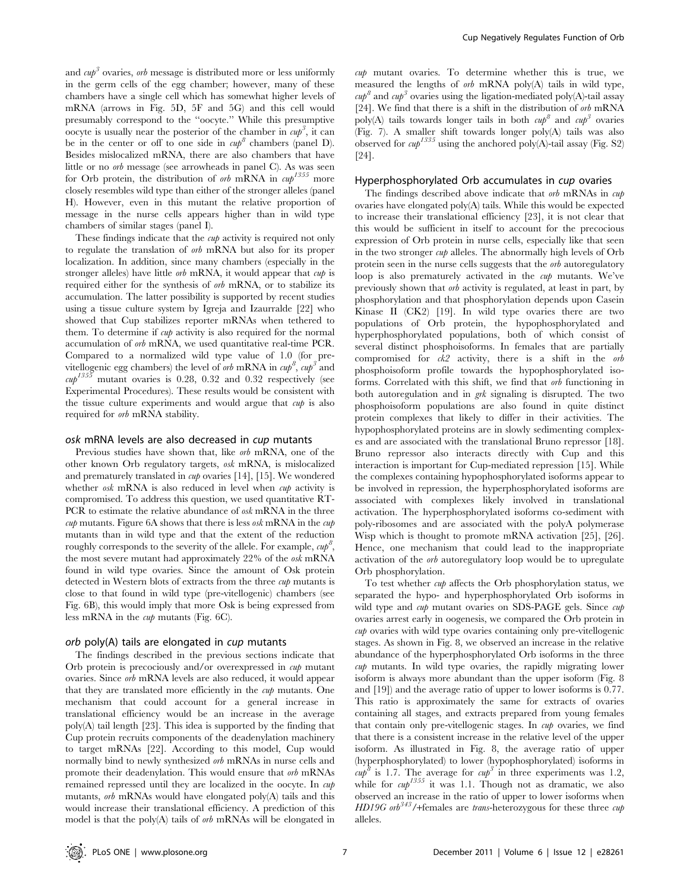and  $\alpha \psi^3$  ovaries, *orb* message is distributed more or less uniformly in the germ cells of the egg chamber; however, many of these chambers have a single cell which has somewhat higher levels of mRNA (arrows in Fig. 5D, 5F and 5G) and this cell would presumably correspond to the ''oocyte.'' While this presumptive oocyte is usually near the posterior of the chamber in  $\alpha \psi^3$ , it can be in the center or off to one side in  $\alpha \phi^8$  chambers (panel D). Besides mislocalized mRNA, there are also chambers that have little or no orb message (see arrowheads in panel C). As was seen for Orb protein, the distribution of *orb* mRNA in  $\alpha \psi^{1355}$  more closely resembles wild type than either of the stronger alleles (panel H). However, even in this mutant the relative proportion of message in the nurse cells appears higher than in wild type chambers of similar stages (panel I).

These findings indicate that the *cup* activity is required not only to regulate the translation of orb mRNA but also for its proper localization. In addition, since many chambers (especially in the stronger alleles) have little  $orb$  mRNA, it would appear that  $cup$  is required either for the synthesis of orb mRNA, or to stabilize its accumulation. The latter possibility is supported by recent studies using a tissue culture system by Igreja and Izaurralde [22] who showed that Cup stabilizes reporter mRNAs when tethered to them. To determine if cup activity is also required for the normal accumulation of orb mRNA, we used quantitative real-time PCR. Compared to a normalized wild type value of 1.0 (for previtellogenic egg chambers) the level of orb mRNA in  $\alpha \psi^{\beta}$ ,  $\alpha \psi^{\beta}$  and  $\int cub^{1355}$  mutant ovaries is 0.28, 0.32 and 0.32 respectively (see Experimental Procedures). These results would be consistent with the tissue culture experiments and would argue that  $\alpha \psi$  is also required for orb mRNA stability.

### osk mRNA levels are also decreased in cup mutants

Previous studies have shown that, like orb mRNA, one of the other known Orb regulatory targets, osk mRNA, is mislocalized and prematurely translated in  $\alpha\psi$  ovaries [14], [15]. We wondered whether *osk* mRNA is also reduced in level when *cup* activity is compromised. To address this question, we used quantitative RT-PCR to estimate the relative abundance of *osk* mRNA in the three  $\alpha$  mutants. Figure 6A shows that there is less osk mRNA in the  $\alpha$ mutants than in wild type and that the extent of the reduction roughly corresponds to the severity of the allele. For example,  $\alpha \phi^{\beta}$ , the most severe mutant had approximately 22% of the osk mRNA found in wild type ovaries. Since the amount of Osk protein detected in Western blots of extracts from the three *cup* mutants is close to that found in wild type (pre-vitellogenic) chambers (see Fig. 6B), this would imply that more Osk is being expressed from less mRNA in the cup mutants (Fig. 6C).

# orb poly(A) tails are elongated in cup mutants

The findings described in the previous sections indicate that Orb protein is precociously and/or overexpressed in  $\alpha\psi$  mutant ovaries. Since orb mRNA levels are also reduced, it would appear that they are translated more efficiently in the cup mutants. One mechanism that could account for a general increase in translational efficiency would be an increase in the average poly(A) tail length [23]. This idea is supported by the finding that Cup protein recruits components of the deadenylation machinery to target mRNAs [22]. According to this model, Cup would normally bind to newly synthesized orb mRNAs in nurse cells and promote their deadenylation. This would ensure that orb mRNAs remained repressed until they are localized in the oocyte. In cup mutants, orb mRNAs would have elongated poly(A) tails and this would increase their translational efficiency. A prediction of this model is that the poly(A) tails of orb mRNAs will be elongated in

 $\alpha$  mutant ovaries. To determine whether this is true, we measured the lengths of orb mRNA poly(A) tails in wild type,  $\alpha \psi^8$  and  $\alpha \psi^3$  ovaries using the ligation-mediated poly(A)-tail assay [24]. We find that there is a shift in the distribution of orb mRNA poly(A) tails towards longer tails in both  $\alpha \psi^8$  and  $\alpha \psi^3$  ovaries (Fig. 7). A smaller shift towards longer poly(A) tails was also observed for  $c u p^{1335}$  using the anchored poly(A)-tail assay (Fig. S2) [24].

#### Hyperphosphorylated Orb accumulates in cup ovaries

The findings described above indicate that *orb* mRNAs in *cub* ovaries have elongated poly(A) tails. While this would be expected to increase their translational efficiency [23], it is not clear that this would be sufficient in itself to account for the precocious expression of Orb protein in nurse cells, especially like that seen in the two stronger cup alleles. The abnormally high levels of Orb protein seen in the nurse cells suggests that the orb autoregulatory loop is also prematurely activated in the *cup* mutants. We've previously shown that orb activity is regulated, at least in part, by phosphorylation and that phosphorylation depends upon Casein Kinase II (CK2) [19]. In wild type ovaries there are two populations of Orb protein, the hypophosphorylated and hyperphosphorylated populations, both of which consist of several distinct phosphoisoforms. In females that are partially compromised for ck2 activity, there is a shift in the orb phosphoisoform profile towards the hypophosphorylated isoforms. Correlated with this shift, we find that orb functioning in both autoregulation and in grk signaling is disrupted. The two phosphoisoform populations are also found in quite distinct protein complexes that likely to differ in their activities. The hypophosphorylated proteins are in slowly sedimenting complexes and are associated with the translational Bruno repressor [18]. Bruno repressor also interacts directly with Cup and this interaction is important for Cup-mediated repression [15]. While the complexes containing hypophosphorylated isoforms appear to be involved in repression, the hyperphosphorylated isoforms are associated with complexes likely involved in translational activation. The hyperphosphorylated isoforms co-sediment with poly-ribosomes and are associated with the polyA polymerase Wisp which is thought to promote mRNA activation [25], [26]. Hence, one mechanism that could lead to the inappropriate activation of the orb autoregulatory loop would be to upregulate Orb phosphorylation.

To test whether cup affects the Orb phosphorylation status, we separated the hypo- and hyperphosphorylated Orb isoforms in wild type and *cup* mutant ovaries on SDS-PAGE gels. Since *cup* ovaries arrest early in oogenesis, we compared the Orb protein in cup ovaries with wild type ovaries containing only pre-vitellogenic stages. As shown in Fig. 8, we observed an increase in the relative abundance of the hyperphosphorylated Orb isoforms in the three cup mutants. In wild type ovaries, the rapidly migrating lower isoform is always more abundant than the upper isoform (Fig. 8 and [19]) and the average ratio of upper to lower isoforms is 0.77. This ratio is approximately the same for extracts of ovaries containing all stages, and extracts prepared from young females that contain only pre-vitellogenic stages. In cup ovaries, we find that there is a consistent increase in the relative level of the upper isoform. As illustrated in Fig. 8, the average ratio of upper (hyperphosphorylated) to lower (hypophosphorylated) isoforms in  $\alpha \psi^3$  is 1.7. The average for  $\alpha \psi^3$  in three experiments was 1.2, while for  $cup^{1355}$  it was 1.1. Though not as dramatic, we also observed an increase in the ratio of upper to lower isoforms when HD19G orb<sup>343</sup>/+females are trans-heterozygous for these three cup alleles.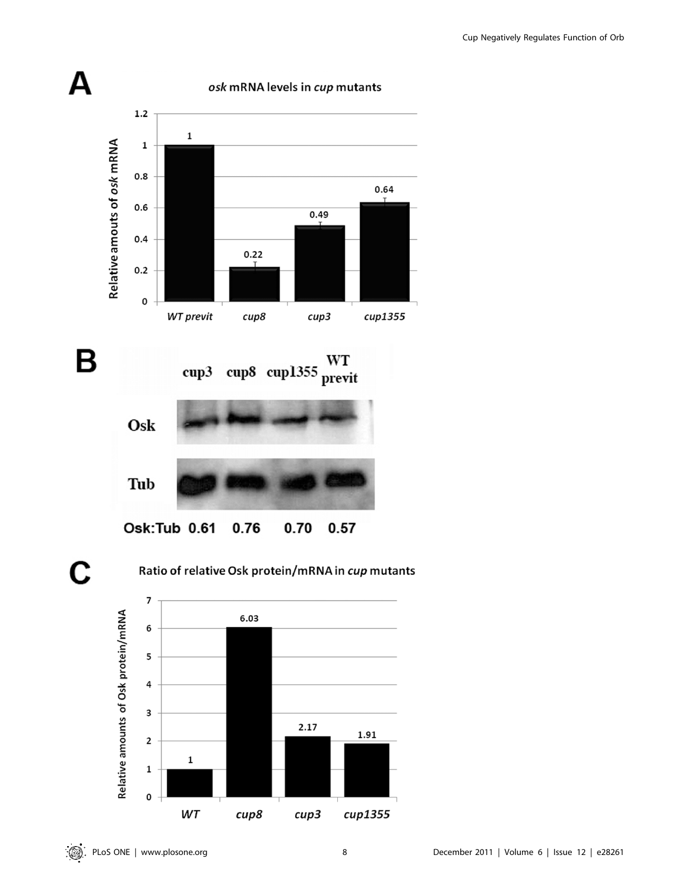# osk mRNA levels in cup mutants







B

A

# Ratio of relative Osk protein/mRNA in cup mutants

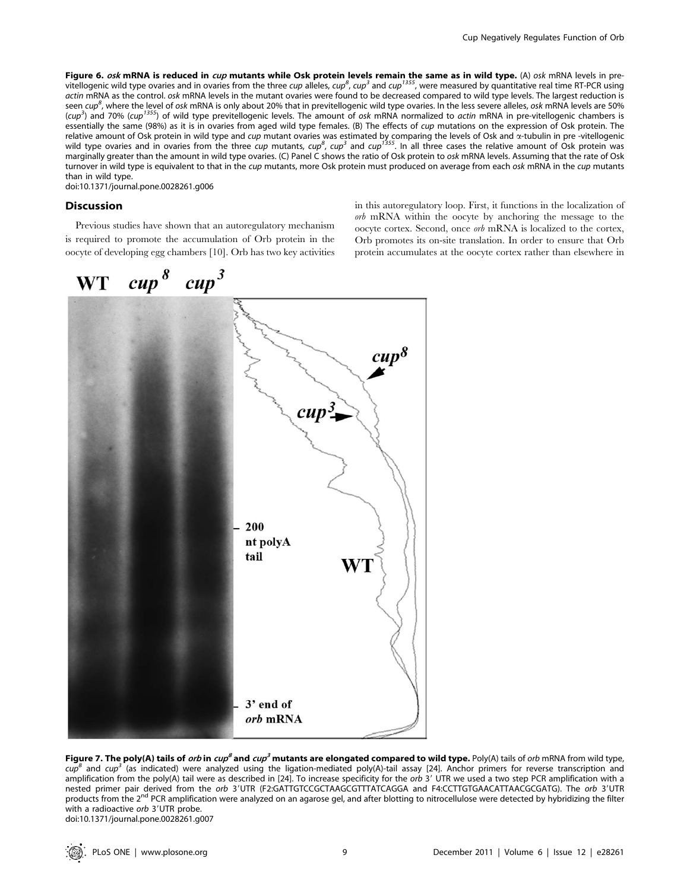Figure 6. osk mRNA is reduced in cup mutants while Osk protein levels remain the same as in wild type. (A) osk mRNA levels in previtellogenic wild type ovaries and in ovaries from the three cup alleles, cup<sup>8</sup>, cup<sup>3</sup> and cup<sup>1355</sup>, were measured by quantitative real time RT-PCR using actin mRNA as the control. osk mRNA levels in the mutant ovaries were found to be decreased compared to wild type levels. The largest reduction is seen cup<sup>8</sup>, where the level of osk mRNA is only about 20% that in previtellogenic wild type ovaries. In the less severe alleles, osk mRNA levels are 50% (cup<sup>3</sup>) and 70% (cup<sup>1355</sup>) of wild type previtellogenic levels. The amount of osk mRNA normalized to actin mRNA in pre-vitellogenic chambers is essentially the same (98%) as it is in ovaries from aged wild type females. (B) The effects of cup mutations on the expression of Osk protein. The relative amount of Osk protein in wild type and *cup* mutant ovaries was estimated by comparing the levels of Osk and α-tubulin in pre -vitellogenic<br>wild type ovaries and in ovaries from the three *cup* mutants, *cup<sup>8</sup>, c* marginally greater than the amount in wild type ovaries. (C) Panel C shows the ratio of Osk protein to osk mRNA levels. Assuming that the rate of Osk turnover in wild type is equivalent to that in the cup mutants, more Osk protein must produced on average from each osk mRNA in the cup mutants than in wild type.

doi:10.1371/journal.pone.0028261.g006

### **Discussion**

Previous studies have shown that an autoregulatory mechanism is required to promote the accumulation of Orb protein in the oocyte of developing egg chambers [10]. Orb has two key activities in this autoregulatory loop. First, it functions in the localization of orb mRNA within the oocyte by anchoring the message to the oocyte cortex. Second, once orb mRNA is localized to the cortex, Orb promotes its on-site translation. In order to ensure that Orb protein accumulates at the oocyte cortex rather than elsewhere in



Figure 7. The poly(A) tails of orb in cup<sup>3</sup> and cup<sup>3</sup> mutants are elongated compared to wild type. Poly(A) tails of orb mRNA from wild type,  $cup^3$  and cup<sup>3</sup> (as indicated) were analyzed using the ligation-mediated poly(A)-tail assay [24]. Anchor primers for reverse transcription and amplification from the poly(A) tail were as described in [24]. To increase specificity for the orb  $3'$  UTR we used a two step PCR amplification with a nested primer pair derived from the orb 3'UTR (F2:GATTGTCCGCTAAGCGTTTATCAGGA and F4:CCTTGTGAACATTAACGCGATG). The orb 3'UTR products from the 2<sup>nd</sup> PCR amplification were analyzed on an agarose gel, and after blotting to nitrocellulose were detected by hybridizing the filter with a radioactive orb 3'UTR probe. doi:10.1371/journal.pone.0028261.g007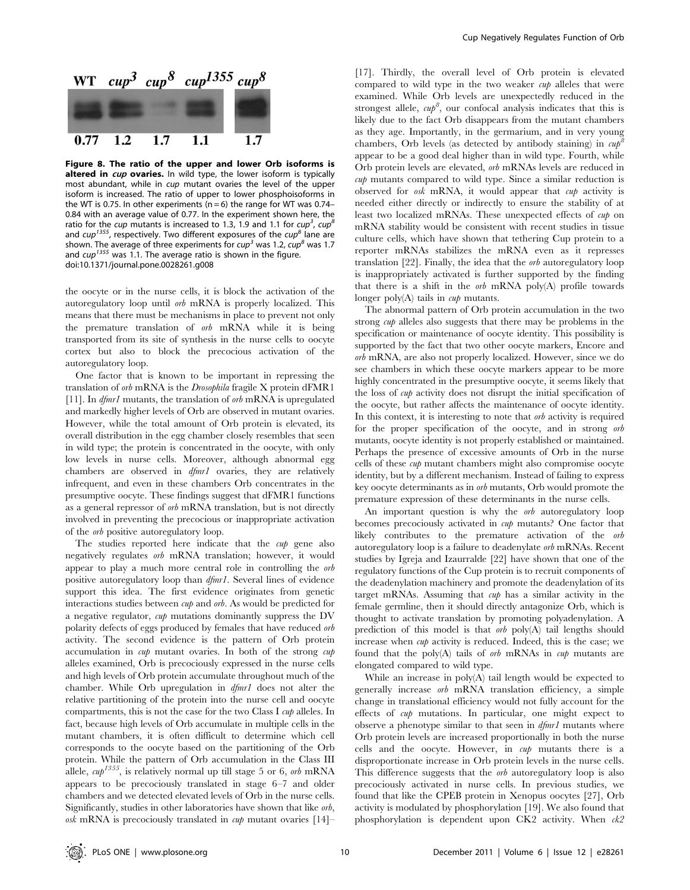

Figure 8. The ratio of the upper and lower Orb isoforms is altered in cup ovaries. In wild type, the lower isoform is typically most abundant, while in cup mutant ovaries the level of the upper isoform is increased. The ratio of upper to lower phosphoisoforms in the WT is 0.75. In other experiments ( $n = 6$ ) the range for WT was 0.74– 0.84 with an average value of 0.77. In the experiment shown here, the ratio for the cup mutants is increased to 1.3, 1.9 and 1.1 for cup<sup>3</sup>, cup<sup>8</sup> and  $cup^{1355}$ , respectively. Two different exposures of the  $cup^{8}$  lane are shown. The average of three experiments for  $cup^3$  was 1.2,  $cup^8$  was 1.7 and  $cup^{1355}$  was 1.1. The average ratio is shown in the figure. doi:10.1371/journal.pone.0028261.g008

the oocyte or in the nurse cells, it is block the activation of the autoregulatory loop until orb mRNA is properly localized. This means that there must be mechanisms in place to prevent not only the premature translation of orb mRNA while it is being transported from its site of synthesis in the nurse cells to oocyte cortex but also to block the precocious activation of the autoregulatory loop.

One factor that is known to be important in repressing the translation of orb mRNA is the Drosophila fragile X protein dFMR1 [11]. In *dfmr1* mutants, the translation of *orb* mRNA is upregulated and markedly higher levels of Orb are observed in mutant ovaries. However, while the total amount of Orb protein is elevated, its overall distribution in the egg chamber closely resembles that seen in wild type; the protein is concentrated in the oocyte, with only low levels in nurse cells. Moreover, although abnormal egg chambers are observed in dfmr1 ovaries, they are relatively infrequent, and even in these chambers Orb concentrates in the presumptive oocyte. These findings suggest that dFMR1 functions as a general repressor of orb mRNA translation, but is not directly involved in preventing the precocious or inappropriate activation of the orb positive autoregulatory loop.

The studies reported here indicate that the *cup* gene also negatively regulates orb mRNA translation; however, it would appear to play a much more central role in controlling the orb positive autoregulatory loop than dfmr1. Several lines of evidence support this idea. The first evidence originates from genetic interactions studies between cup and orb. As would be predicted for a negative regulator, cup mutations dominantly suppress the DV polarity defects of eggs produced by females that have reduced orb activity. The second evidence is the pattern of Orb protein accumulation in cup mutant ovaries. In both of the strong cup alleles examined, Orb is precociously expressed in the nurse cells and high levels of Orb protein accumulate throughout much of the chamber. While Orb upregulation in dfmr1 does not alter the relative partitioning of the protein into the nurse cell and oocyte compartments, this is not the case for the two Class I cup alleles. In fact, because high levels of Orb accumulate in multiple cells in the mutant chambers, it is often difficult to determine which cell corresponds to the oocyte based on the partitioning of the Orb protein. While the pattern of Orb accumulation in the Class III allele,  $\alpha \psi^{1355}$ , is relatively normal up till stage 5 or 6, orb mRNA appears to be precociously translated in stage 6–7 and older chambers and we detected elevated levels of Orb in the nurse cells. Significantly, studies in other laboratories have shown that like orb, osk mRNA is precociously translated in  $\alpha \psi$  mutant ovaries [14]–

[17]. Thirdly, the overall level of Orb protein is elevated compared to wild type in the two weaker cup alleles that were examined. While Orb levels are unexpectedly reduced in the strongest allele,  $\alpha \psi^{\beta}$ , our confocal analysis indicates that this is likely due to the fact Orb disappears from the mutant chambers as they age. Importantly, in the germarium, and in very young chambers, Orb levels (as detected by antibody staining) in  $\alpha\psi^{\delta}$ appear to be a good deal higher than in wild type. Fourth, while Orb protein levels are elevated, orb mRNAs levels are reduced in cup mutants compared to wild type. Since a similar reduction is observed for osk mRNA, it would appear that cup activity is needed either directly or indirectly to ensure the stability of at least two localized mRNAs. These unexpected effects of cup on mRNA stability would be consistent with recent studies in tissue culture cells, which have shown that tethering Cup protein to a reporter mRNAs stabilizes the mRNA even as it represses translation [22]. Finally, the idea that the orb autoregulatory loop is inappropriately activated is further supported by the finding that there is a shift in the  $orb$  mRNA poly(A) profile towards longer poly $(A)$  tails in *cup* mutants.

The abnormal pattern of Orb protein accumulation in the two strong *cup* alleles also suggests that there may be problems in the specification or maintenance of oocyte identity. This possibility is supported by the fact that two other oocyte markers, Encore and orb mRNA, are also not properly localized. However, since we do see chambers in which these oocyte markers appear to be more highly concentrated in the presumptive oocyte, it seems likely that the loss of cup activity does not disrupt the initial specification of the oocyte, but rather affects the maintenance of oocyte identity. In this context, it is interesting to note that orb activity is required for the proper specification of the oocyte, and in strong orb mutants, oocyte identity is not properly established or maintained. Perhaps the presence of excessive amounts of Orb in the nurse cells of these cup mutant chambers might also compromise oocyte identity, but by a different mechanism. Instead of failing to express key oocyte determinants as in orb mutants, Orb would promote the premature expression of these determinants in the nurse cells.

An important question is why the *orb* autoregulatory loop becomes precociously activated in cup mutants? One factor that likely contributes to the premature activation of the orb autoregulatory loop is a failure to deadenylate orb mRNAs. Recent studies by Igreja and Izaurralde [22] have shown that one of the regulatory functions of the Cup protein is to recruit components of the deadenylation machinery and promote the deadenylation of its target mRNAs. Assuming that cup has a similar activity in the female germline, then it should directly antagonize Orb, which is thought to activate translation by promoting polyadenylation. A prediction of this model is that orb poly(A) tail lengths should increase when cup activity is reduced. Indeed, this is the case; we found that the poly $(A)$  tails of *orb* mRNAs in *cup* mutants are elongated compared to wild type.

While an increase in poly(A) tail length would be expected to generally increase orb mRNA translation efficiency, a simple change in translational efficiency would not fully account for the effects of cup mutations. In particular, one might expect to observe a phenotype similar to that seen in  $dfmr1$  mutants where Orb protein levels are increased proportionally in both the nurse cells and the oocyte. However, in cup mutants there is a disproportionate increase in Orb protein levels in the nurse cells. This difference suggests that the *orb* autoregulatory loop is also precociously activated in nurse cells. In previous studies, we found that like the CPEB protein in Xenopus oocytes [27], Orb activity is modulated by phosphorylation [19]. We also found that phosphorylation is dependent upon CK2 activity. When  $ck2$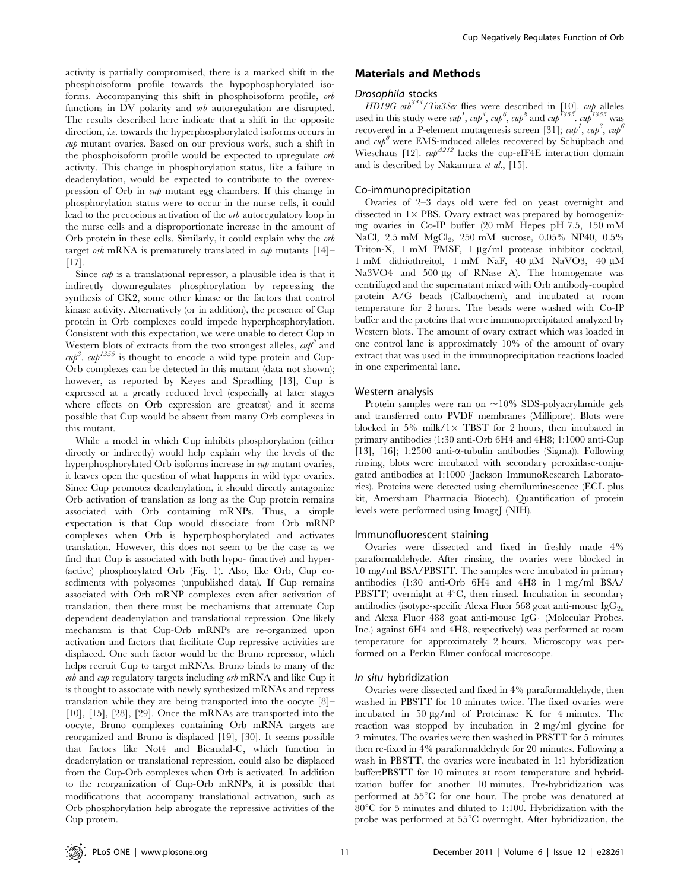activity is partially compromised, there is a marked shift in the phosphoisoform profile towards the hypophosphorylated isoforms. Accompanying this shift in phosphoisoform profile, orb functions in DV polarity and orb autoregulation are disrupted. The results described here indicate that a shift in the opposite direction, *i.e.* towards the hyperphosphorylated isoforms occurs in cup mutant ovaries. Based on our previous work, such a shift in the phosphoisoform profile would be expected to upregulate orb activity. This change in phosphorylation status, like a failure in deadenylation, would be expected to contribute to the overexpression of Orb in cup mutant egg chambers. If this change in phosphorylation status were to occur in the nurse cells, it could lead to the precocious activation of the orb autoregulatory loop in the nurse cells and a disproportionate increase in the amount of Orb protein in these cells. Similarly, it could explain why the orb target osk mRNA is prematurely translated in  $\alpha \psi$  mutants [14]– [17].

Since  $\alpha \psi$  is a translational repressor, a plausible idea is that it indirectly downregulates phosphorylation by repressing the synthesis of CK2, some other kinase or the factors that control kinase activity. Alternatively (or in addition), the presence of Cup protein in Orb complexes could impede hyperphosphorylation. Consistent with this expectation, we were unable to detect Cup in Western blots of extracts from the two strongest alleles,  $\alpha \psi^8$  and  $\int c u p^{3}$ .  $\int c u p^{1355}$  is thought to encode a wild type protein and Cup-Orb complexes can be detected in this mutant (data not shown); however, as reported by Keyes and Spradling [13], Cup is expressed at a greatly reduced level (especially at later stages where effects on Orb expression are greatest) and it seems possible that Cup would be absent from many Orb complexes in this mutant.

While a model in which Cup inhibits phosphorylation (either directly or indirectly) would help explain why the levels of the hyperphosphorylated Orb isoforms increase in cup mutant ovaries, it leaves open the question of what happens in wild type ovaries. Since Cup promotes deadenylation, it should directly antagonize Orb activation of translation as long as the Cup protein remains associated with Orb containing mRNPs. Thus, a simple expectation is that Cup would dissociate from Orb mRNP complexes when Orb is hyperphosphorylated and activates translation. However, this does not seem to be the case as we find that Cup is associated with both hypo- (inactive) and hyper- (active) phosphorylated Orb (Fig. 1). Also, like Orb, Cup cosediments with polysomes (unpublished data). If Cup remains associated with Orb mRNP complexes even after activation of translation, then there must be mechanisms that attenuate Cup dependent deadenylation and translational repression. One likely mechanism is that Cup-Orb mRNPs are re-organized upon activation and factors that facilitate Cup repressive activities are displaced. One such factor would be the Bruno repressor, which helps recruit Cup to target mRNAs. Bruno binds to many of the orb and cup regulatory targets including orb mRNA and like Cup it is thought to associate with newly synthesized mRNAs and repress translation while they are being transported into the oocyte [8]– [10], [15], [28], [29]. Once the mRNAs are transported into the oocyte, Bruno complexes containing Orb mRNA targets are reorganized and Bruno is displaced [19], [30]. It seems possible that factors like Not4 and Bicaudal-C, which function in deadenylation or translational repression, could also be displaced from the Cup-Orb complexes when Orb is activated. In addition to the reorganization of Cup-Orb mRNPs, it is possible that modifications that accompany translational activation, such as Orb phosphorylation help abrogate the repressive activities of the Cup protein.

# Materials and Methods

## Drosophila stocks

 $HD19G$  orb<sup>343</sup>/Tm3Ser flies were described in [10]. cup alleles used in this study were  $c u p^1$ ,  $c u p^3$ ,  $c u p^6$ ,  $c u p^8$  and  $c u p^{\overline{1355}}$ .  $c u p^{\overline{1355}}$  was recovered in a P-element mutagenesis screen [31];  $\alpha \psi^1$ ,  $\alpha \psi^3$ ,  $\alpha \psi^6$ and  $\alpha \psi^8$  were EMS-induced alleles recovered by Schüpbach and Wieschaus [12].  $\alpha \psi^{4212}$  lacks the cup-eIF4E interaction domain and is described by Nakamura et al., [15].

# Co-immunoprecipitation

Ovaries of 2–3 days old were fed on yeast overnight and dissected in  $1\times$  PBS. Ovary extract was prepared by homogenizing ovaries in Co-IP buffer (20 mM Hepes pH 7.5, 150 mM NaCl, 2.5 mM MgCl<sub>2</sub>, 250 mM sucrose, 0.05% NP40, 0.5% Triton-X, 1 mM PMSF, 1 µg/ml protease inhibitor cocktail, 1 mM dithiothreitol, 1 mM NaF, 40 µM NaVO3, 40 µM Na3VO4 and 500 µg of RNase A). The homogenate was centrifuged and the supernatant mixed with Orb antibody-coupled protein A/G beads (Calbiochem), and incubated at room temperature for 2 hours. The beads were washed with Co-IP buffer and the proteins that were immunoprecipitated analyzed by Western blots. The amount of ovary extract which was loaded in one control lane is approximately 10% of the amount of ovary extract that was used in the immunoprecipitation reactions loaded in one experimental lane.

# Western analysis

Protein samples were ran on  $\sim$ 10% SDS-polyacrylamide gels and transferred onto PVDF membranes (Millipore). Blots were blocked in 5% milk/1 $\times$  TBST for 2 hours, then incubated in primary antibodies (1:30 anti-Orb 6H4 and 4H8; 1:1000 anti-Cup [13], [16]; 1:2500 anti-a-tubulin antibodies (Sigma)). Following rinsing, blots were incubated with secondary peroxidase-conjugated antibodies at 1:1000 (Jackson ImmunoResearch Laboratories). Proteins were detected using chemiluminescence (ECL plus kit, Amersham Pharmacia Biotech). Quantification of protein levels were performed using ImageJ (NIH).

### Immunofluorescent staining

Ovaries were dissected and fixed in freshly made 4% paraformaldehyde. After rinsing, the ovaries were blocked in 10 mg/ml BSA/PBSTT. The samples were incubated in primary antibodies (1:30 anti-Orb 6H4 and 4H8 in 1 mg/ml BSA/ PBSTT) overnight at  $4^{\circ}$ C, then rinsed. Incubation in secondary antibodies (isotype-specific Alexa Fluor 568 goat anti-mouse  $\operatorname{IgG}_{2a}$ and Alexa Fluor 488 goat anti-mouse  $IgG_1$  (Molecular Probes, Inc.) against 6H4 and 4H8, respectively) was performed at room temperature for approximately 2 hours. Microscopy was performed on a Perkin Elmer confocal microscope.

### In situ hybridization

Ovaries were dissected and fixed in 4% paraformaldehyde, then washed in PBSTT for 10 minutes twice. The fixed ovaries were incubated in 50  $\mu$ g/ml of Proteinase K for 4 minutes. The reaction was stopped by incubation in 2 mg/ml glycine for 2 minutes. The ovaries were then washed in PBSTT for 5 minutes then re-fixed in 4% paraformaldehyde for 20 minutes. Following a wash in PBSTT, the ovaries were incubated in 1:1 hybridization buffer:PBSTT for 10 minutes at room temperature and hybridization buffer for another 10 minutes. Pre-hybridization was performed at  $55^{\circ}$ C for one hour. The probe was denatured at  $80^{\circ}$ C for 5 minutes and diluted to 1:100. Hybridization with the probe was performed at  $55^{\circ}$ C overnight. After hybridization, the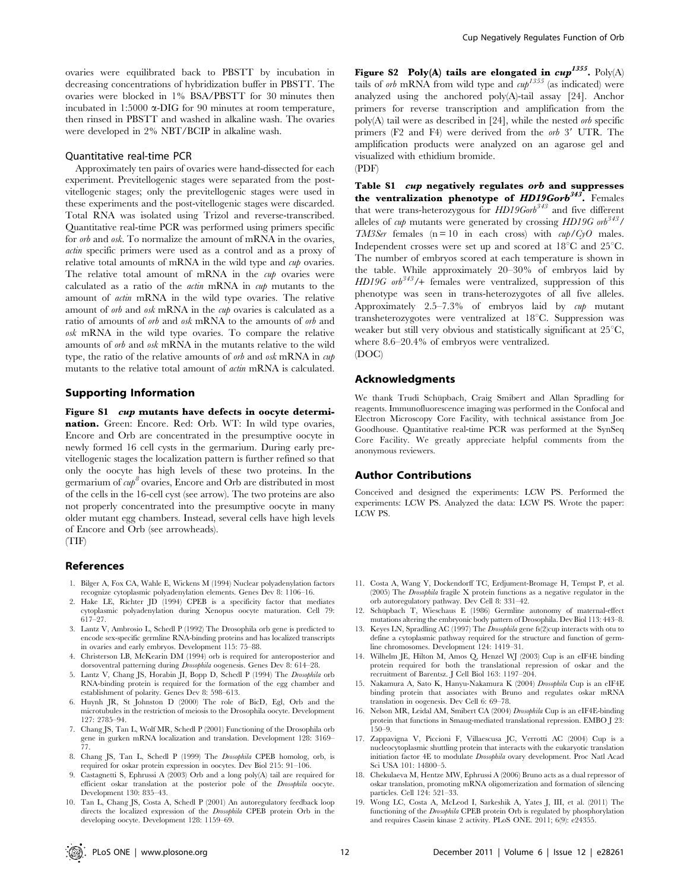ovaries were equilibrated back to PBSTT by incubation in decreasing concentrations of hybridization buffer in PBSTT. The ovaries were blocked in 1% BSA/PBSTT for 30 minutes then incubated in 1:5000 a-DIG for 90 minutes at room temperature, then rinsed in PBSTT and washed in alkaline wash. The ovaries were developed in 2% NBT/BCIP in alkaline wash.

#### Quantitative real-time PCR

Approximately ten pairs of ovaries were hand-dissected for each experiment. Previtellogenic stages were separated from the postvitellogenic stages; only the previtellogenic stages were used in these experiments and the post-vitellogenic stages were discarded. Total RNA was isolated using Trizol and reverse-transcribed. Quantitative real-time PCR was performed using primers specific for *orb* and *osk*. To normalize the amount of mRNA in the ovaries, actin specific primers were used as a control and as a proxy of relative total amounts of mRNA in the wild type and *cup* ovaries. The relative total amount of mRNA in the *cup* ovaries were calculated as a ratio of the actin mRNA in cup mutants to the amount of actin mRNA in the wild type ovaries. The relative amount of orb and osk mRNA in the cup ovaries is calculated as a ratio of amounts of orb and osk mRNA to the amounts of orb and osk mRNA in the wild type ovaries. To compare the relative amounts of orb and osk mRNA in the mutants relative to the wild type, the ratio of the relative amounts of orb and osk mRNA in cup mutants to the relative total amount of *actin* mRNA is calculated.

### Supporting Information

Figure S1 cup mutants have defects in oocyte determination. Green: Encore. Red: Orb. WT: In wild type ovaries, Encore and Orb are concentrated in the presumptive oocyte in newly formed 16 cell cysts in the germarium. During early previtellogenic stages the localization pattern is further refined so that only the oocyte has high levels of these two proteins. In the germarium of  $\alpha\psi^8$  ovaries, Encore and Orb are distributed in most of the cells in the 16-cell cyst (see arrow). The two proteins are also not properly concentrated into the presumptive oocyte in many older mutant egg chambers. Instead, several cells have high levels of Encore and Orb (see arrowheads). (TIF)

### References

- 1. Bilger A, Fox CA, Wahle E, Wickens M (1994) Nuclear polyadenylation factors recognize cytoplasmic polyadenylation elements. Genes Dev 8: 1106–16.
- 2. Hake LE, Richter JD (1994) CPEB is a specificity factor that mediates cytoplasmic polyadenylation during Xenopus oocyte maturation. Cell 79: 617–27.
- 3. Lantz V, Ambrosio L, Schedl P (1992) The Drosophila orb gene is predicted to encode sex-specific germline RNA-binding proteins and has localized transcripts in ovaries and early embryos. Development 115: 75–88.
- 4. Christerson LB, McKearin DM (1994) orb is required for anteroposterior and dorsoventral patterning during Drosophila oogenesis. Genes Dev 8: 614–28.
- 5. Lantz V, Chang JS, Horabin JI, Bopp D, Schedl P (1994) The Drosophila orb RNA-binding protein is required for the formation of the egg chamber and establishment of polarity. Genes Dev 8: 598–613.
- 6. Huynh JR, St Johnston D (2000) The role of BicD, Egl, Orb and the microtubules in the restriction of meiosis to the Drosophila oocyte. Development 127: 2785–94.
- 7. Chang JS, Tan L, Wolf MR, Schedl P (2001) Functioning of the Drosophila orb gene in gurken mRNA localization and translation. Development 128: 3169– 77.
- 8. Chang JS, Tan L, Schedl P (1999) The Drosophila CPEB homolog, orb, is required for oskar protein expression in oocytes. Dev Biol 215: 91–106.
- 9. Castagnetti S, Ephrussi A (2003) Orb and a long poly(A) tail are required for efficient oskar translation at the posterior pole of the Drosophila oocyte. Development 130: 835–43.

Figure S2 Poly(A) tails are elongated in  $cup^{1355}$ .  $Poly(A)$ tails of orb mRNA from wild type and  $\alpha$ <sup>1355</sup> (as indicated) were analyzed using the anchored poly(A)-tail assay [24]. Anchor primers for reverse transcription and amplification from the  $poly(A)$  tail were as described in [24], while the nested *orb* specific primers (F2 and F4) were derived from the  $orb 3'$  UTR. The amplification products were analyzed on an agarose gel and visualized with ethidium bromide. (PDF)

Table S1 cup negatively regulates orb and suppresses the ventralization phenotype of  $HD19Gorb^{343}$ . Females that were trans-heterozygous for  $HD19Gorb<sup>343</sup>$  and five different alleles of *cup* mutants were generated by crossing  $HD19G$  orb<sup>343</sup>/ TM3Ser females  $(n = 10$  in each cross) with  $\frac{cu}{y}$  males. Independent crosses were set up and scored at  $18^{\circ}$ C and  $25^{\circ}$ C. The number of embryos scored at each temperature is shown in the table. While approximately 20–30% of embryos laid by  $HD19G$  orb<sup>343</sup>/+ females were ventralized, suppression of this phenotype was seen in trans-heterozygotes of all five alleles. Approximately 2.5–7.3% of embryos laid by cup mutant transheterozygotes were ventralized at  $18^{\circ}$ C. Suppression was weaker but still very obvious and statistically significant at  $25^{\circ}$ C, where 8.6–20.4% of embryos were ventralized.

(DOC)

# Acknowledgments

We thank Trudi Schüpbach, Craig Smibert and Allan Spradling for reagents. Immunofluorescence imaging was performed in the Confocal and Electron Microscopy Core Facility, with technical assistance from Joe Goodhouse. Quantitative real-time PCR was performed at the SynSeq Core Facility. We greatly appreciate helpful comments from the anonymous reviewers.

### Author Contributions

Conceived and designed the experiments: LCW PS. Performed the experiments: LCW PS. Analyzed the data: LCW PS. Wrote the paper: LCW PS.

- 11. Costa A, Wang Y, Dockendorff TC, Erdjument-Bromage H, Tempst P, et al. (2005) The Drosophila fragile X protein functions as a negative regulator in the orb autoregulatory pathway. Dev Cell 8: 331–42.
- 12. Schüpbach T, Wieschaus E (1986) Germline autonomy of maternal-effect mutations altering the embryonic body pattern of Drosophila. Dev Biol 113: 443–8.
- 13. Keyes LN, Spradling AC (1997) The Drosophila gene fs(2)cup interacts with otu to define a cytoplasmic pathway required for the structure and function of germline chromosomes. Development 124: 1419–31.
- 14. Wilhelm JE, Hilton M, Amos Q, Henzel WJ (2003) Cup is an eIF4E binding protein required for both the translational repression of oskar and the recruitment of Barentsz. J Cell Biol 163: 1197–204.
- 15. Nakamura A, Sato K, Hanyu-Nakamura K (2004) Drosophila Cup is an eIF4E binding protein that associates with Bruno and regulates oskar mRNA translation in oogenesis. Dev Cell 6: 69–78.
- 16. Nelson MR, Leidal AM, Smibert CA (2004) Drosophila Cup is an eIF4E-binding protein that functions in Smaug-mediated translational repression. EMBO J 23: 150–9.
- 17. Zappavigna V, Piccioni F, Villaescusa JC, Verrotti AC (2004) Cup is a nucleocytoplasmic shuttling protein that interacts with the eukaryotic translation initiation factor 4E to modulate Drosophila ovary development. Proc Natl Acad Sci USA 101: 14800–5.
- 18. Chekulaeva M, Hentze MW, Ephrussi A (2006) Bruno acts as a dual repressor of oskar translation, promoting mRNA oligomerization and formation of silencing particles. Cell 124: 521–33.
- 19. Wong LC, Costa A, McLeod I, Sarkeshik A, Yates J, III, et al. (2011) The functioning of the Drosophila CPEB protein Orb is regulated by phosphorylation and requires Casein kinase 2 activity. PLoS ONE. 2011; 6(9): e24355.